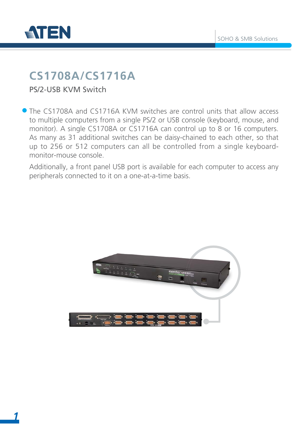

## **CS1708A/CS1716A**

PS/2-USB KVM Switch

The CS1708A and CS1716A KVM switches are control units that allow access to multiple computers from a single PS/2 or USB console (keyboard, mouse, and monitor). A single CS1708A or CS1716A can control up to 8 or 16 computers. As many as 31 additional switches can be daisy-chained to each other, so that up to 256 or 512 computers can all be controlled from a single keyboardmonitor-mouse console.

Additionally, a front panel USB port is available for each computer to access any peripherals connected to it on a one-at-a-time basis.

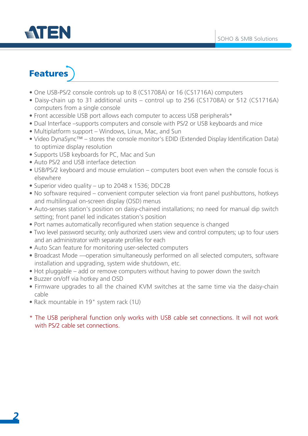

## Features

- One USB-PS/2 console controls up to 8 (CS1708A) or 16 (CS1716A) computers
- Daisy-chain up to 31 additional units control up to 256 (CS1708A) or 512 (CS1716A) computers from a single console
- Front accessible USB port allows each computer to access USB peripherals\*
- Dual Interface –supports computers and console with PS/2 or USB keyboards and mice
- Multiplatform support Windows, Linux, Mac, and Sun
- Video DynaSync™ stores the console monitor's EDID (Extended Display Identification Data) to optimize display resolution
- Supports USB keyboards for PC, Mac and Sun
- Auto PS/2 and USB interface detection
- USB/PS/2 keyboard and mouse emulation computers boot even when the console focus is elsewhere
- Superior video quality up to 2048 x 1536; DDC2B
- No software required convenient computer selection via front panel pushbuttons, hotkeys and multilingual on-screen display (OSD) menus
- Auto-senses station's position on daisy-chained installations; no need for manual dip switch setting; front panel led indicates station's position
- Port names automatically reconfigured when station sequence is changed
- Two level password security; only authorized users view and control computers; up to four users and an administrator with separate profiles for each
- Auto Scan feature for monitoring user-selected computers
- Broadcast Mode —operation simultaneously performed on all selected computers, software installation and upgrading, system wide shutdown, etc.
- Hot pluggable add or remove computers without having to power down the switch
- Buzzer on/off via hotkey and OSD
- Firmware upgrades to all the chained KVM switches at the same time via the daisy-chain cable
- Rack mountable in 19" system rack (1U)
- \* The USB peripheral function only works with USB cable set connections. It will not work with PS/2 cable set connections.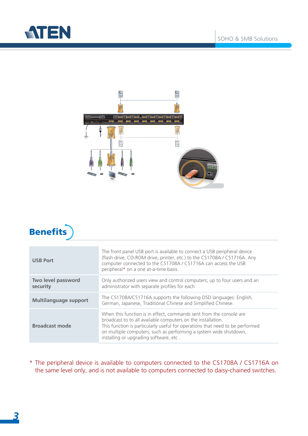





| <b>USB Port</b>                | The front panel USB port is available to connect a USB peripheral device<br>(flash drive, CD-ROM drive, printer, etc.) to the CS1708A / CS1716A. Any<br>computer connected to the CS1708A / CS1716A can access the USB<br>peripheral* on a one at-a-time basis.                                                                     |  |  |
|--------------------------------|-------------------------------------------------------------------------------------------------------------------------------------------------------------------------------------------------------------------------------------------------------------------------------------------------------------------------------------|--|--|
| Two level password<br>security | Only authorized users view and control computers; up to four users and an<br>administrator with separate profiles for each                                                                                                                                                                                                          |  |  |
| <b>Multilanguage support</b>   | The CS1708A/CS1716A supports the following OSD languages: English,<br>German, Japanese, Traditional Chinese and Simplified Chinese.                                                                                                                                                                                                 |  |  |
| <b>Broadcast mode</b>          | When this function is in effect, commands sent from the console are<br>broadcast to to all available computers on the installation.<br>This function is particularly useful for operations that need to be performed<br>on multiple computers, such as performing a system wide shutdown,<br>installing or upgrading software, etc. |  |  |

\* The peripheral device is available to computers connected to the CS1708A / CS1716A on the same level only, and is not available to computers connected to daisy-chained switches.